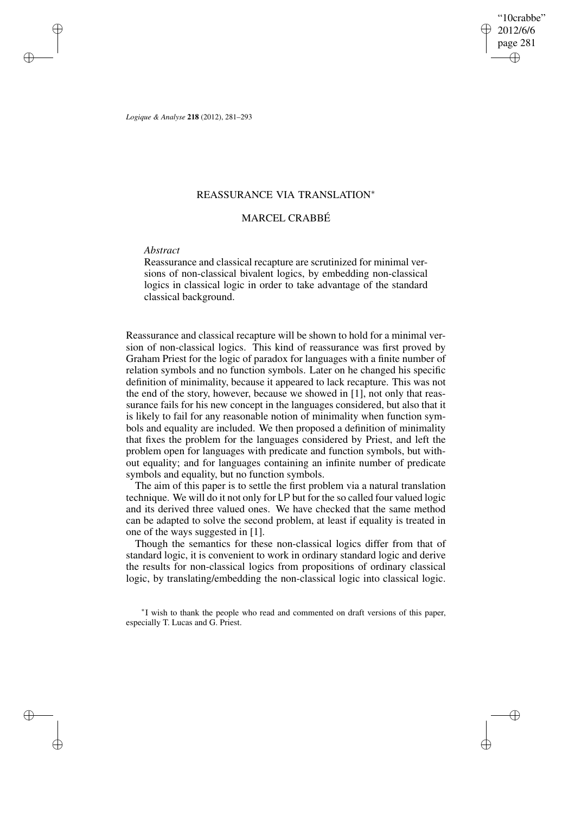"10crabbe" 2012/6/6 page 281 ✐ ✐

✐

✐

*Logique & Analyse* **218** (2012), 281–293

# REASSURANCE VIA TRANSLATION<sup>∗</sup>

# MARCEL CRABBÉ

# *Abstract*

✐

✐

✐

✐

Reassurance and classical recapture are scrutinized for minimal versions of non-classical bivalent logics, by embedding non-classical logics in classical logic in order to take advantage of the standard classical background.

Reassurance and classical recapture will be shown to hold for a minimal version of non-classical logics. This kind of reassurance was first proved by Graham Priest for the logic of paradox for languages with a finite number of relation symbols and no function symbols. Later on he changed his specific definition of minimality, because it appeared to lack recapture. This was not the end of the story, however, because we showed in [1], not only that reassurance fails for his new concept in the languages considered, but also that it is likely to fail for any reasonable notion of minimality when function symbols and equality are included. We then proposed a definition of minimality that fixes the problem for the languages considered by Priest, and left the problem open for languages with predicate and function symbols, but without equality; and for languages containing an infinite number of predicate symbols and equality, but no function symbols.

The aim of this paper is to settle the first problem via a natural translation technique. We will do it not only for LP but for the so called four valued logic and its derived three valued ones. We have checked that the same method can be adapted to solve the second problem, at least if equality is treated in one of the ways suggested in [1].

Though the semantics for these non-classical logics differ from that of standard logic, it is convenient to work in ordinary standard logic and derive the results for non-classical logics from propositions of ordinary classical logic, by translating/embedding the non-classical logic into classical logic.

∗ I wish to thank the people who read and commented on draft versions of this paper, especially T. Lucas and G. Priest.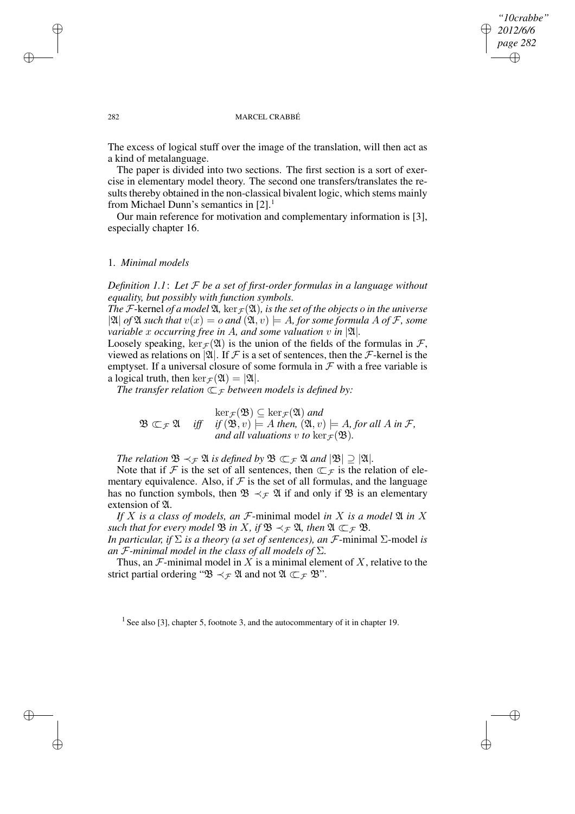## *"10crabbe" 2012/6/6 page 282* ✐ ✐

✐

✐

### 282 MARCEL CRABBÉ

The excess of logical stuff over the image of the translation, will then act as a kind of metalanguage.

The paper is divided into two sections. The first section is a sort of exercise in elementary model theory. The second one transfers/translates the results thereby obtained in the non-classical bivalent logic, which stems mainly from Michael Dunn's semantics in  $[2]$ .<sup>1</sup>

Our main reference for motivation and complementary information is [3], especially chapter 16.

## 1. *Minimal models*

*Definition 1.1*: *Let* F *be a set of first-order formulas in a language without equality, but possibly with function symbols.*

*The* F-kernel *of a* model  $\mathfrak{A}$ , ker<sub> $\mathcal{F}(\mathfrak{A})$ , *is the set of the objects o in the universe*</sub>  $|\mathfrak{A}|$  *of*  $\mathfrak{A}$  *such that*  $v(x) = o$  *and*  $(\mathfrak{A}, v) \models A$ *, for some formula* A *of* F, some *variable* x *occurring free in* A, and some valuation v in  $|\mathfrak{A}|$ *.* 

Loosely speaking,  $\ker_{\mathcal{F}}(\mathfrak{A})$  is the union of the fields of the formulas in  $\mathcal{F}$ , viewed as relations on |21|. If F is a set of sentences, then the F-kernel is the emptyset. If a universal closure of some formula in  $\mathcal F$  with a free variable is a logical truth, then  $\ker_{\mathcal{F}}(\mathfrak{A}) = |\mathfrak{A}|.$ 

*The transfer relation*  $\subset$  *F between models is defined by:* 

 $\mathfrak{B} \subset_{\mathcal{F}} \mathfrak{A}$  *iff*  $\ker_{\mathcal{F}}(\mathfrak{B}) \subseteq \ker_{\mathcal{F}}(\mathfrak{A})$  and  $if$   $(\mathfrak{B}, v) \models A$  *then,*  $(\mathfrak{A}, v) \models A$ *, for all*  $A$  *in*  $\mathcal{F}$ *, and all valuations v to*  $\ker_{\mathcal{F}}(\mathfrak{B})$ *.* 

*The relation*  $\mathfrak{B} \prec_{\mathcal{F}} \mathfrak{A}$  *is defined by*  $\mathfrak{B} \subset_{\mathcal{F}} \mathfrak{A}$  *and*  $|\mathfrak{B}| \supseteq |\mathfrak{A}|$ *.* 

Note that if F is the set of all sentences, then  $\subset$   $\mathcal F$  is the relation of elementary equivalence. Also, if  $\mathcal F$  is the set of all formulas, and the language has no function symbols, then  $\mathfrak{B} \prec_{\mathcal{F}} \mathfrak{A}$  if and only if  $\mathfrak{B}$  is an elementary extension of  $\mathfrak A$ .

*If*  $X$  *is a class of models, an*  $\mathcal{F}$ -minimal model *in*  $X$  *is a model*  $\mathfrak{A}$  *in*  $X$ *such that for every model*  $\mathfrak{B}$  *in*  $X$ *, if*  $\mathfrak{B} \prec_{\mathcal{F}} \mathfrak{A}$ *, then*  $\mathfrak{A} \subset_{\mathcal{F}} \mathfrak{B}$ *.* 

*In particular, if*  $\Sigma$  *is a theory (a set of sentences), an F*-minimal  $\Sigma$ -model *is an*  $\mathcal F$ *-minimal model in the class of all models of*  $\Sigma$ *.* 

Thus, an  $\mathcal F$ -minimal model in X is a minimal element of X, relative to the strict partial ordering " $\mathfrak{B} \prec_{\mathcal{F}} \mathfrak{A}$  and not  $\mathfrak{A} \subset_{\mathcal{F}} \mathfrak{B}$ ".

<sup>1</sup> See also [3], chapter 5, footnote 3, and the autocommentary of it in chapter 19.

✐

✐

✐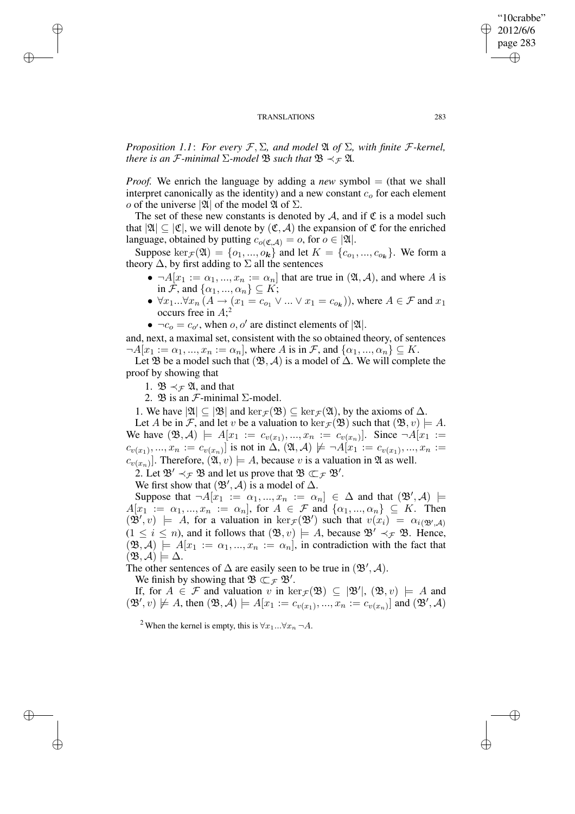*Proposition* 1.1: *For every*  $\mathcal{F}, \Sigma$ , *and model*  $\mathfrak{A}$  *of*  $\Sigma$ *, with finite*  $\mathcal{F}$ *-kernel, there is an*  $\mathcal{F}$ *-minimal*  $\Sigma$ *-model*  $\mathcal{B}$  *such that*  $\mathcal{B} \prec_{\mathcal{F}} \mathcal{A}$ *.* 

*Proof.* We enrich the language by adding a *new* symbol = (that we shall interpret canonically as the identity) and a new constant  $c<sub>o</sub>$  for each element *o* of the universe  $|\mathfrak{A}|$  of the model  $\mathfrak A$  of  $\Sigma$ .

The set of these new constants is denoted by  $A$ , and if  $\mathfrak C$  is a model such that  $|\mathfrak{A}| \subseteq |\mathfrak{C}|$ , we will denote by  $(\mathfrak{C}, \mathcal{A})$  the expansion of  $\mathfrak{C}$  for the enriched language, obtained by putting  $c_{o(\mathfrak{C},\mathcal{A})} = o$ , for  $o \in |\mathfrak{A}|$ .

Suppose  $\ker_{\mathcal{F}}(\mathfrak{A}) = \{o_1, ..., o_k\}$  and let  $K = \{c_{o_1}, ..., c_{o_k}\}\$ . We form a theory  $\Delta$ , by first adding to  $\Sigma$  all the sentences

- $\neg A[x_1 := \alpha_1, ..., x_n := \alpha_n]$  that are true in  $(\mathfrak{A}, \mathcal{A})$ , and where A is in F, and  $\{\alpha_1, ..., \alpha_n\} \subseteq K$ ;
- $\forall x_1...\forall x_n (A \rightarrow (x_1 = c_{o_1} \vee ... \vee x_1 = c_{o_k}))$ , where  $A \in \mathcal{F}$  and  $x_1$ occurs free in  $A$ ;<sup>2</sup>

•  $\neg c_o = c_{o'}$ , when  $o, o'$  are distinct elements of  $|\mathfrak{A}|$ .

and, next, a maximal set, consistent with the so obtained theory, of sentences  $\neg A[x_1 := \alpha_1, ..., x_n := \alpha_n],$  where A is in F, and  $\{\alpha_1, ..., \alpha_n\} \subseteq K$ .

Let B be a model such that  $(\mathfrak{B}, \mathcal{A})$  is a model of  $\Delta$ . We will complete the proof by showing that

1.  $\mathfrak{B} \prec_{\mathcal{F}} \mathfrak{A}$ , and that

✐

✐

✐

✐

2.  $\mathfrak{B}$  is an  $\mathcal{F}\text{-minimal}$   $\Sigma\text{-model}$ .

1. We have  $|\mathfrak{A}| \subset |\mathfrak{B}|$  and  $\ker_{\mathcal{F}}(\mathfrak{B}) \subseteq \ker_{\mathcal{F}}(\mathfrak{A})$ , by the axioms of  $\Delta$ .

Let A be in F, and let v be a valuation to  $\ker_{\mathcal{F}}(\mathfrak{B})$  such that  $(\mathfrak{B}, v) \models A$ . We have  $(\mathfrak{B}, \mathcal{A}) \models A[x_1 := c_{v(x_1)}, ..., x_n := c_{v(x_n)}].$  Since  $\neg A[x_1 :=$  $c_{v(x_1)},...,x_n := c_{v(x_n)}$ ] is not in  $\Delta, (\mathfrak{A}, \mathcal{A}) \not\models \neg A[x_1 := c_{v(x_1)},...,x_n :=$  $c_{v(x_n)}$ ]. Therefore,  $(\mathfrak{A}, v) \models A$ , because v is a valuation in  $\mathfrak A$  as well.

2. Let  $\mathfrak{B}' \prec_{\mathcal{F}} \mathfrak{B}$  and let us prove that  $\mathfrak{B} \subset_{\mathcal{F}} \mathfrak{B}'.$ 

We first show that  $(\mathfrak{B}', \mathcal{A})$  is a model of  $\Delta$ .

Suppose that  $\neg A[x_1 := \alpha_1, ..., x_n := \alpha_n] \in \Delta$  and that  $(\mathfrak{B}', \mathcal{A})$   $\models$  $A[x_1 := \alpha_1, ..., x_n := \alpha_n],$  for  $A \in \mathcal{F}$  and  $\{\alpha_1, ..., \alpha_n\} \subseteq K$ . Then  $(\mathfrak{B}', v) \models A$ , for a valuation in  $\ker_{\mathcal{F}}(\mathfrak{B}')$  such that  $v(x_i) = \alpha_{i(\mathfrak{B}',A)}$  $(1 \le i \le n)$ , and it follows that  $(\mathfrak{B}, v) \models A$ , because  $\mathfrak{B}' \prec_{\mathcal{F}} \mathfrak{B}$ . Hence,  $(\mathfrak{B}, \mathcal{A}) \models A[x_1 := \alpha_1, ..., x_n := \alpha_n],$  in contradiction with the fact that  $(\mathfrak{B}, \mathcal{A}) \models \Delta.$ 

The other sentences of  $\Delta$  are easily seen to be true in  $(\mathfrak{B}', \mathcal{A})$ .

We finish by showing that  $\mathfrak{B} \subset_{\mathcal{F}} \mathfrak{B}'$ .

If, for  $A \in \mathcal{F}$  and valuation v in  $\ker_{\mathcal{F}}(\mathfrak{B}) \subseteq |\mathfrak{B}'|, (\mathfrak{B}, v) \models A$  and  $(\mathfrak{B}', v) \not\models A$ , then  $(\mathfrak{B}, \mathcal{A}) \models A[x_1 := c_{v(x_1)}, ..., x_n := c_{v(x_n)}]$  and  $(\mathfrak{B}', \mathcal{A})$ 

<sup>2</sup> When the kernel is empty, this is  $\forall x_1...\forall x_n \neg A$ .

"10crabbe" 2012/6/6 page 283

✐

✐

✐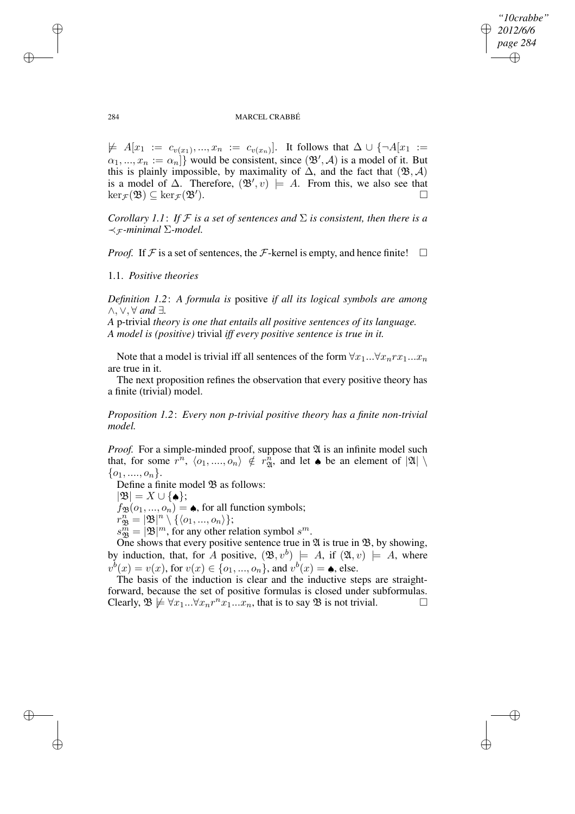✐

### 284 MARCEL CRABBÉ

 $\not\models A[x_1 := c_{v(x_1)},...,x_n := c_{v(x_n)}].$  It follows that  $\Delta \cup \{\neg A[x_1] := \neg A[x_1] \land \neg A[x_1] \}$  $\{\alpha_1, ..., \alpha_n := \alpha_n\}$  would be consistent, since  $(\mathfrak{B}', \mathcal{A})$  is a model of it. But this is plainly impossible, by maximality of  $\Delta$ , and the fact that  $(\mathfrak{B}, \mathcal{A})$ is a model of  $\Delta$ . Therefore,  $(\mathfrak{B}', v) \models A$ . From this, we also see that  $\ker_{\mathcal{F}}(\mathfrak{B}) \subseteq \ker_{\mathcal{F}}(\mathfrak{B}').$ ).  $\qquad \qquad \Box$ 

*Corollary* 1.1: If F is a set of sentences and  $\Sigma$  is consistent, then there is a  $\prec$ <sub>*∓*</sub>-minimal  $\Sigma$ -model.

*Proof.* If  $\mathcal F$  is a set of sentences, the  $\mathcal F$ -kernel is empty, and hence finite!  $\Box$ 

1.1. *Positive theories*

*Definition 1.2*: *A formula is* positive *if all its logical symbols are among* ∧, ∨, ∀ *and* ∃*.*

*A* p-trivial *theory is one that entails all positive sentences of its language. A model is (positive)* trivial *iff every positive sentence is true in it.*

Note that a model is trivial iff all sentences of the form  $\forall x_1... \forall x_n rx_1...x_n$ are true in it.

The next proposition refines the observation that every positive theory has a finite (trivial) model.

*Proposition 1.2*: *Every non p-trivial positive theory has a finite non-trivial model.*

*Proof.* For a simple-minded proof, suppose that  $\mathfrak A$  is an infinite model such that, for some  $r^n$ ,  $\langle o_1, ..., o_n \rangle \notin r^n_{\mathfrak{A}}$ , and let  $\bullet$  be an element of  $|\mathfrak{A}| \setminus \mathfrak{A}$  $\{o_1, ..., o_n\}.$ 

Define a finite model  $\mathfrak B$  as follows:

 $|\mathfrak{B}| = X \cup \{\spadesuit\};$ 

 $f_{\mathfrak{B}}(o_1, ..., o_n) = \spadesuit$ , for all function symbols;

 $r^n_{\mathfrak{B}}=|\mathfrak{B}|^n\setminus\{\langle o_1,...,o_n\rangle\};$ 

 $s_{\mathfrak{B}}^{\widetilde{m}} = |\mathfrak{B}|^m$ , for any other relation symbol  $s^m$ .

One shows that every positive sentence true in  $\mathfrak A$  is true in  $\mathfrak B$ , by showing, by induction, that, for A positive,  $(\mathfrak{B}, v^b) \models A$ , if  $(\mathfrak{A}, v) \models A$ , where  $v^{b}(x) = v(x)$ , for  $v(x) \in \{o_1, ..., o_n\}$ , and  $v^{b}(x) = \spadesuit$ , else.

The basis of the induction is clear and the inductive steps are straightforward, because the set of positive formulas is closed under subformulas. Clearly,  $\mathfrak{B} \not\models \forall x_1...\forall x_n r^n x_1...x_n$ , that is to say  $\mathfrak{B}$  is not trivial.

✐

✐

✐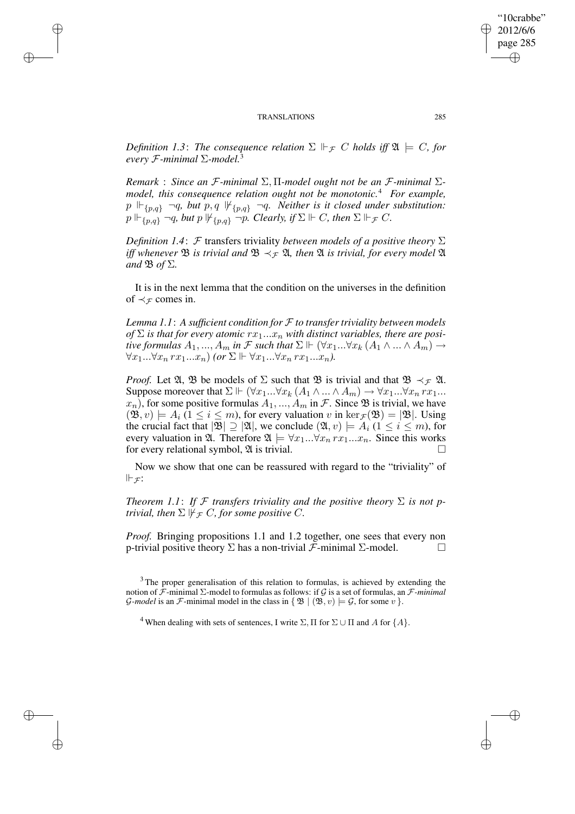✐

✐

✐

✐

*Definition* 1.3: The consequence relation  $\Sigma \Vdash_{\mathcal{F}} C$  holds iff  $\mathfrak{A} \models C$ , for *every* F*-minimal* Σ*-model.*<sup>3</sup>

*Remark* : *Since an* F*-minimal* Σ, Π*-model ought not be an* F*-minimal* Σ*model, this consequence relation ought not be monotonic.*<sup>4</sup> *For example,*  $p \Vdash_{\{p,q\}} \neg q$ , *but*  $p, q \Vdash_{\{p,q\}} \neg q$ . *Neither is it closed under substitution:*  $p \Vdash_{\{p,q\}} \neg q$ , but  $p \Vdash_{\{p,q\}} \neg p$ . Clearly, if  $\Sigma \Vdash C$ , then  $\Sigma \Vdash_{\mathcal{F}} C$ .

*Definition* 1.4: F transfers triviality *between models of a positive theory*  $\Sigma$ *iff* whenever **B** *is trivial and* **B**  $\prec$ <sub>*F*</sub> **2***, then* **2***is trivial, for every model* **2***l and*  $\mathfrak{B}$  *of*  $\Sigma$ *.* 

It is in the next lemma that the condition on the universes in the definition of  $\prec_{\mathcal{F}}$  comes in.

*Lemma 1.1*: *A sufficient condition for* F *to transfer triviality between models of*  $\Sigma$  *is that for every atomic*  $rx_1...x_n$  *with distinct variables, there are positive formulas*  $A_1, ..., A_m$  *in*  $\mathcal F$  *such that*  $\Sigma \Vdash (\forall x_1 ... \forall x_k (A_1 \land ... \land A_m) \rightarrow$  $\forall x_1... \forall x_n \, rx_1...x_n$  *(or*  $\Sigma \Vdash \forall x_1... \forall x_n \, rx_1...x_n$ ).

*Proof.* Let  $\mathfrak{A}, \mathfrak{B}$  be models of  $\Sigma$  such that  $\mathfrak{B}$  is trivial and that  $\mathfrak{B} \prec_{\mathcal{F}} \mathfrak{A}$ . Suppose moreover that  $\Sigma \Vdash (\forall x_1...\forall x_k (A_1 \wedge ... \wedge A_m) \rightarrow \forall x_1...\forall x_n rx_1...$  $x_n$ ), for some positive formulas  $A_1, ..., A_m$  in  $\mathcal F$ . Since  $\mathfrak B$  is trivial, we have  $(\mathfrak{B}, v) \models A_i$   $(1 \leq i \leq m)$ , for every valuation v in  $\ker_{\mathcal{F}}(\mathfrak{B}) = |\mathfrak{B}|$ . Using the crucial fact that  $|\mathfrak{B}| \supseteq |\mathfrak{A}|$ , we conclude  $(\mathfrak{A}, v) \models A_i$   $(1 \leq i \leq m)$ , for every valuation in  $\mathfrak{A}$ . Therefore  $\mathfrak{A} \models \forall x_1...\forall x_n \, rx_1...x_n$ . Since this works for every relational symbol,  $\mathfrak A$  is trivial.

Now we show that one can be reassured with regard to the "triviality" of  $\Vdash_{\mathcal{F}}$ :

*Theorem* 1.1: If F *transfers triviality and the positive theory*  $\Sigma$  *is not ptrivial, then*  $\Sigma \not\Vdash_{\mathcal{F}} C$ *, for some positive* C*.* 

*Proof.* Bringing propositions 1.1 and 1.2 together, one sees that every non p-trivial positive theory  $\Sigma$  has a non-trivial *F*-minimal  $\Sigma$ -model.  $\square$ 

"10crabbe" 2012/6/6 page 285

✐

✐

✐

 $3$  The proper generalisation of this relation to formulas, is achieved by extending the notion of F-minimal Σ-model to formulas as follows: if G is a set of formulas, an F*-minimal G-model* is an *F*-minimal model in the class in  $\{ \mathfrak{B} \mid (\mathfrak{B}, v) \models \mathcal{G}, \text{ for some } v \}.$ 

<sup>&</sup>lt;sup>4</sup> When dealing with sets of sentences, I write  $\Sigma$ ,  $\Pi$  for  $\Sigma \cup \Pi$  and A for  $\{A\}$ .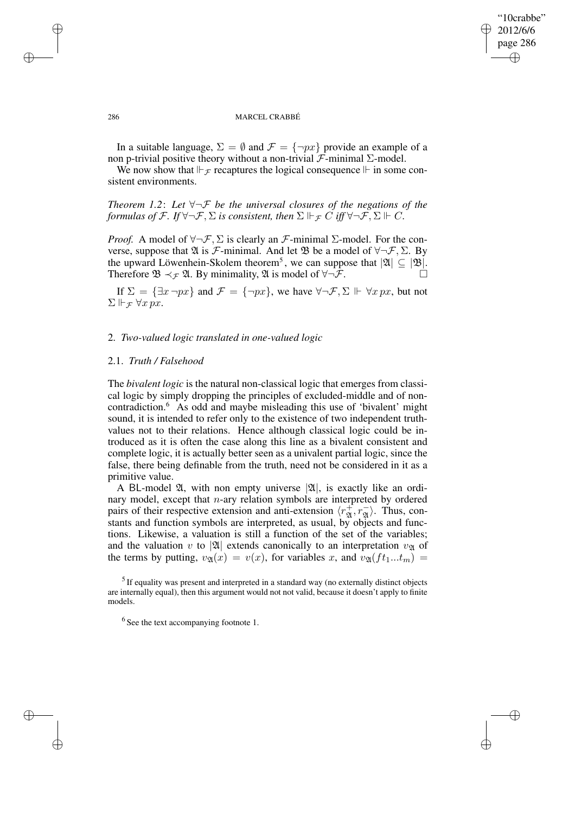✐

### 286 MARCEL CRABBÉ

In a suitable language,  $\Sigma = \emptyset$  and  $\mathcal{F} = \{\neg px\}$  provide an example of a non p-trivial positive theory without a non-trivial  $\mathcal{F}$ -minimal Σ-model.

We now show that  $\Vdash$   $\tau$  recaptures the logical consequence  $\Vdash$  in some consistent environments.

*Theorem 1.2*: *Let* ∀¬F *be the universal closures of the negations of the formulas of*  $\mathcal{F}$ *. If*  $\forall \neg \mathcal{F}$ *,*  $\Sigma$  *is consistent, then*  $\Sigma \Vdash_{\mathcal{F}} C$  *iff*  $\forall \neg \mathcal{F}$ *,*  $\Sigma \Vdash C$ *.* 

*Proof.* A model of  $\forall \neg \mathcal{F}, \Sigma$  is clearly an  $\mathcal{F}\text{-minimal } \Sigma\text{-model}$ . For the converse, suppose that  $\mathfrak A$  is *F*-minimal. And let  $\mathfrak B$  be a model of  $\forall \neg \mathcal F, \Sigma$ . By the upward Löwenhein-Skolem theorem<sup>5</sup>, we can suppose that  $|\mathfrak{A}| \subseteq |\mathfrak{B}|$ . Therefore  $\mathfrak{B} \prec_{\mathcal{F}} \mathfrak{A}$ . By minimality,  $\mathfrak{A}$  is model of  $\forall \neg \mathcal{F}$ .

If  $\Sigma = {\exists x \neg px}$  and  $\mathcal{F} = {\neg px}$ , we have  $\forall \neg \mathcal{F}, \Sigma \Vdash \forall x \, px$ , but not  $\Sigma \Vdash_{\mathcal{F}} \forall x \, px.$ 

## 2. *Two-valued logic translated in one-valued logic*

## 2.1. *Truth / Falsehood*

The *bivalent logic* is the natural non-classical logic that emerges from classical logic by simply dropping the principles of excluded-middle and of noncontradiction.<sup>6</sup> As odd and maybe misleading this use of 'bivalent' might sound, it is intended to refer only to the existence of two independent truthvalues not to their relations. Hence although classical logic could be introduced as it is often the case along this line as a bivalent consistent and complete logic, it is actually better seen as a univalent partial logic, since the false, there being definable from the truth, need not be considered in it as a primitive value.

A BL-model  $\mathfrak{A}$ , with non empty universe  $|\mathfrak{A}|$ , is exactly like an ordinary model, except that  $n$ -ary relation symbols are interpreted by ordered pairs of their respective extension and anti-extension  $\langle r_{\mathfrak{A}}^+, r_{\mathfrak{A}}^- \rangle$ . Thus, constants and function symbols are interpreted, as usual, by objects and functions. Likewise, a valuation is still a function of the set of the variables; and the valuation v to |24| extends canonically to an interpretation  $v_{\mathfrak{A}}$  of the terms by putting,  $v_{\mathfrak{A}}(x) = v(x)$ , for variables x, and  $v_{\mathfrak{A}}(ft_1...t_m) =$ 

 $<sup>5</sup>$  If equality was present and interpreted in a standard way (no externally distinct objects</sup> are internally equal), then this argument would not not valid, because it doesn't apply to finite models.

✐

✐

✐

<sup>&</sup>lt;sup>6</sup> See the text accompanying footnote 1.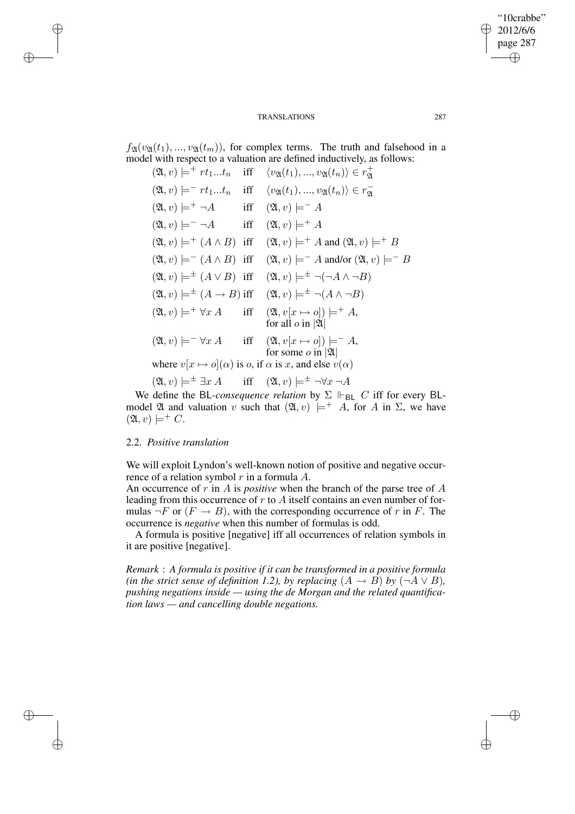"10crabbe" 2012/6/6 page 287 ✐ ✐

✐

✐

 $f_{\mathfrak{A}}(v_{\mathfrak{A}}(t_1),..., v_{\mathfrak{A}}(t_m))$ , for complex terms. The truth and falsehood in a model with respect to a valuation are defined inductively, as follows:

$$
(2\lambda, v) \models^{+} rt_{1...} t_{n} \quad \text{iff} \quad \langle v_{2\lambda}(t_{1}), ..., v_{2\lambda}(t_{n}) \rangle \in r_{2\lambda}^{+}
$$
  
\n
$$
(2\lambda, v) \models^{-} rt_{1...} t_{n} \quad \text{iff} \quad \langle v_{2\lambda}(t_{1}), ..., v_{2\lambda}(t_{n}) \rangle \in r_{2\lambda}^{-}
$$
  
\n
$$
(2\lambda, v) \models^{+} \neg A \quad \text{iff} \quad (2\lambda, v) \models^{-} A
$$
  
\n
$$
(2\lambda, v) \models^{-} \neg A \quad \text{iff} \quad (2\lambda, v) \models^{+} A
$$
  
\n
$$
(2\lambda, v) \models^{+} (A \land B) \quad \text{iff} \quad (2\lambda, v) \models^{+} A \quad \text{and} \quad (2\lambda, v) \models^{+} B
$$
  
\n
$$
(2\lambda, v) \models^{-} (A \land B) \quad \text{iff} \quad (2\lambda, v) \models^{-} A \quad \text{and/or} \quad (2\lambda, v) \models^{-} B
$$
  
\n
$$
(2\lambda, v) \models^{+} (A \rightarrow B) \quad \text{iff} \quad (2\lambda, v) \models^{+} \neg (\neg A \land \neg B)
$$
  
\n
$$
(2\lambda, v) \models^{+} \forall x A \quad \text{iff} \quad (2\lambda, v[x \rightarrow o]) \models^{+} A,
$$
  
\nfor all  $o$  in  $|2\lambda|$   
\n
$$
(2\lambda, v) \models^{-} \forall x A \quad \text{iff} \quad (2\lambda, v[x \rightarrow o]) \models^{-} A,
$$
  
\nfor some  $o$  in  $|2\lambda|$   
\nwhere  $v[x \rightarrow o](\alpha)$  is  $o$ , if  $\alpha$  is  $x$ , and else  $v(\alpha)$ 

$$
(\mathfrak{A}, v) \models^{\pm} \exists x \, A
$$
 iff  $(\mathfrak{A}, v) \models^{\pm} \neg \forall x \, \neg A$ 

We define the BL-consequence relation by  $\Sigma \Vdash_{BL} C$  iff for every BLmodel  $\mathfrak A$  and valuation v such that  $(\mathfrak A, v) \models^+ A$ , for A in  $\Sigma$ , we have  $(\mathfrak{A}, v) \models^+ C.$ 

# 2.2. *Positive translation*

✐

✐

✐

✐

We will exploit Lyndon's well-known notion of positive and negative occurrence of a relation symbol  $r$  in a formula  $A$ .

An occurrence of r in A is *positive* when the branch of the parse tree of A leading from this occurrence of  $r$  to  $A$  itself contains an even number of formulas  $\neg F$  or  $(F \rightarrow B)$ , with the corresponding occurrence of r in F. The occurrence is *negative* when this number of formulas is odd.

A formula is positive [negative] iff all occurrences of relation symbols in it are positive [negative].

*Remark* : *A formula is positive if it can be transformed in a positive formula (in the strict sense of definition 1.2), by replacing*  $(A \rightarrow B)$  *by*  $(\neg A \lor B)$ *, pushing negations inside — using the de Morgan and the related quantification laws — and cancelling double negations.*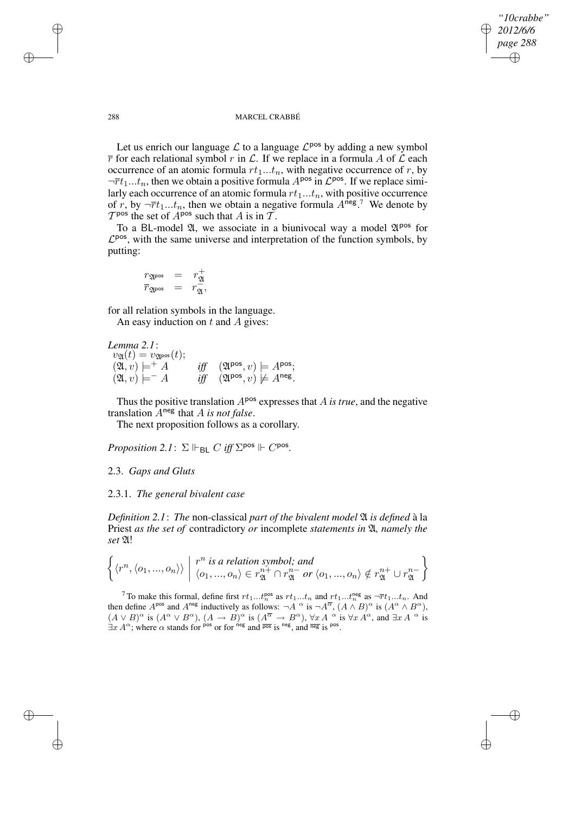✐

### 288 MARCEL CRABBÉ

Let us enrich our language  $\mathcal L$  to a language  $\mathcal L^{pos}$  by adding a new symbol  $\overline{r}$  for each relational symbol r in  $\mathcal{L}$ . If we replace in a formula A of  $\mathcal{L}$  each occurrence of an atomic formula  $rt_1...t_n$ , with negative occurrence of r, by  $\neg \overline{r}t_1...t_n$ , then we obtain a positive formula  $A^{pos}$  in  $\mathcal{L}^{pos}$ . If we replace similarly each occurrence of an atomic formula  $rt_1...t_n$ , with positive occurrence of r, by  $\neg \overline{r}t_1...t_n$ , then we obtain a negative formula  $A^{neg}$ . We denote by  $T^{pos}$  the set of  $A^{pos}$  such that A is in  $\tilde{T}$ .

To a BL-model  $\mathfrak{A}$ , we associate in a biunivocal way a model  $\mathfrak{A}^{\text{pos}}$  for  $\mathcal{L}^{pos}$ , with the same universe and interpretation of the function symbols, by putting:

$$
\begin{array}{rcl} r_{\mathfrak{A}^{\operatorname{pos}}} & = & r_{\mathfrak{A}}^+ \\ \overline{r}_{\mathfrak{A}^{\operatorname{pos}}} & = & r_{\mathfrak{A}}^-, \end{array}
$$

for all relation symbols in the language. An easy induction on  $t$  and  $\ddot{A}$  gives:

*Lemma 2.1*:  $v_{\mathfrak{A}}(t) = v_{\mathfrak{A}^{\text{pos}}}(t);$  $(\mathfrak{A}, v) \models^+ A$  $\begin{array}{l} \left[\mathsf{pos}, v\right) \models A^{\mathsf{pos}}; \\ \left[\mathsf{pos}, v\right) \not\models A^{\mathsf{neg}}. \end{array}$  $(2\mathfrak{l}, v) \models^- A$ 

Thus the positive translation  $A^{pos}$  expresses that  $\overline{A}$  *is true*, and the negative translation Aneg that A *is not false*.

The next proposition follows as a corollary.

*Proposition* 2.1:  $\Sigma \Vdash_{\mathsf{BL}} C$  *iff*  $\Sigma^{\mathsf{pos}} \Vdash C^{\mathsf{pos}}$ *.* 

# 2.3. *Gaps and Gluts*

# 2.3.1. *The general bivalent case*

*Definition 2.1*: *The* non-classical *part of the bivalent model* A *is defined* à la Priest *as the set of* contradictory *or* incomplete *statements in* A*, namely the set* A!

$$
\left\{ \langle r^n, \langle o_1, ..., o_n \rangle \rangle \mid r^n \text{ is a relation symbol; and} \right\} \langle o_1, ..., o_n \rangle \in r_{\mathfrak{A}}^{n+} \cap r_{\mathfrak{A}}^{n-} \text{ or } \langle o_1, ..., o_n \rangle \notin r_{\mathfrak{A}}^{n+} \cup r_{\mathfrak{A}}^{n-} \right\}
$$

<sup>7</sup> To make this formal, define first  $rt_1...t_n^{\text{pos}}$  as  $rt_1...t_n$  and  $rt_1...t_n^{\text{neg}}$  as  $\neg \overline{r}t_1...t_n$ . And then define  $A^{pos}$  and  $A^{neg}$  inductively as follows:  $\neg A \overset{\alpha}{\circ}$  is  $\neg A^{\overline{\alpha}}$ ,  $(A \overset{\alpha}{\wedge} B)^{\alpha}$  is  $(A^{\alpha} \overset{\alpha}{\wedge} B^{\alpha})$ ,  $(A \vee B)^\alpha$  is  $(A^\alpha \vee B^\alpha)$ ,  $(A \rightarrow B)^\alpha$  is  $(A^{\overline{\alpha}} \rightarrow B^\alpha)$ ,  $\forall x A^\alpha$  is  $\forall x A^\alpha$ , and  $\exists x A^\alpha$  is  $\exists x A^{\alpha}$ ; where  $\alpha$  stands for pos or for neg and  $\overline{pos}$  is neg, and  $\overline{neg}$  is pos.

✐

✐

✐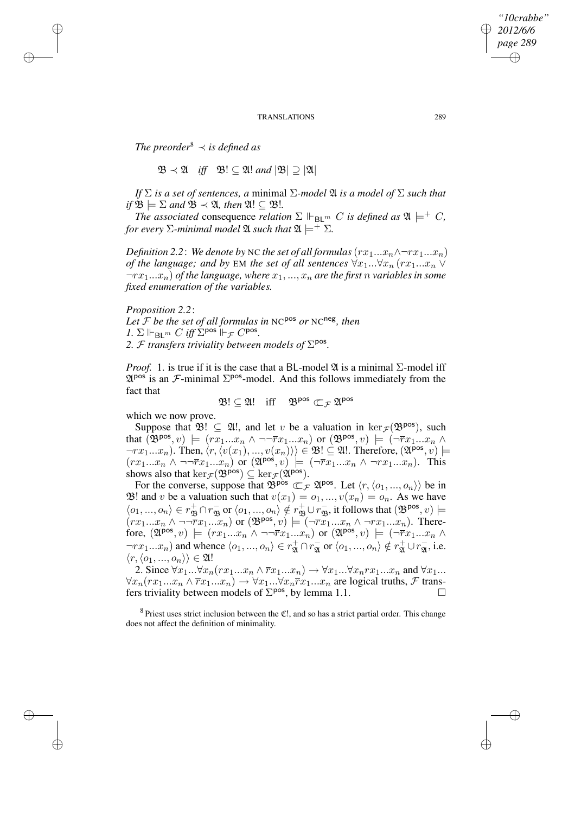*The preorder*<sup>8</sup>  $\prec$  *is defined as* 

✐

✐

✐

✐

 $\mathfrak{B} \prec \mathfrak{A}$  *iff*  $\mathfrak{B}! \subset \mathfrak{A}!$  *and*  $|\mathfrak{B}| \supset |\mathfrak{A}|$ 

*If*  $\Sigma$  *is a set of sentences, a* minimal  $\Sigma$ *-model*  $\mathfrak{A}$  *is a model of*  $\Sigma$  *such that*  $if \mathfrak{B} \models \Sigma$  and  $\mathfrak{B} \prec \mathfrak{A}$ , then  $\mathfrak{A}! \subseteq \mathfrak{B}!$ .

*The associated* consequence *relation*  $\Sigma \Vdash_{\mathsf{Bl}^m} C$  *is defined as*  $\mathfrak{A} \models^+ C$ *, for every*  $\Sigma$ -minimal model  $\mathfrak{A}$  *such that*  $\mathfrak{A} \models^+ \Sigma$ .

*Definition* 2.2: *We denote by* NC *the set of all formulas*  $(rx_1...x_n \wedge \neg rx_1...x_n)$ *of* the language; and by EM the set of all sentences  $\forall x_1... \forall x_n$  ( $rx_1...x_n \vee$  $\lnot rx_1...x_n$ ) *of the language, where*  $x_1,...,x_n$  *are the first n variables in some fixed enumeration of the variables.*

*Proposition 2.2*: *Let* F *be the set of all formulas in* NC pos *or* NC neg *, then 1.*  $\Sigma \Vdash_{\mathsf{BL}^m} C$  *iff*  $\Sigma^{\text{pos}} \Vdash_{\mathcal{F}} C^{\text{pos}}$ . 2. *F transfers triviality between models of*  $\Sigma$ <sup>pos</sup>.

*Proof.* 1. is true if it is the case that a BL-model  $\mathfrak A$  is a minimal  $\Sigma$ -model iff  $\mathfrak{A}^{pos}$  is an  $\mathcal{F}\text{-minimal }\Sigma^{pos}\text{-model}$ . And this follows immediately from the fact that

 $\mathfrak{B}! \subseteq \mathfrak{A}!$  iff  $\mathfrak{B}^{pos} \subset_{\mathcal{F}} \mathfrak{A}^{pos}$ 

which we now prove.

Suppose that  $\mathfrak{B}! \subseteq \mathfrak{A}!$ , and let v be a valuation in  $\ker_{\mathcal{F}}(\mathfrak{B}^{pos})$ , such that  $(\mathfrak{B}^{pos}, v) \models (r\overline{x_1}...x_n \wedge \neg \neg \overline{r}x_1...x_n)$  or  $(\mathfrak{B}^{pos}, v) \models (\neg \overline{r}x_1...x_n \wedge \neg \neg \overline{r}x_1...x_n)$  $\neg rx_1...x_n$ ). Then,  $\langle r, \langle v(x_1), ..., v(x_n) \rangle \rangle \in \mathfrak{B}! \subseteq \mathfrak{A}!$ . Therefore,  $(\mathfrak{A}^{\text{pos}}, v) \models$  $(rx_1...x_n \wedge \neg\neg \overline{r}x_1...x_n)$  or  $(\mathfrak{A}^{pos}, v) \models (\neg \overline{r}x_1...x_n \wedge \neg rx_1...x_n)$ . This shows also that  $\ker_{\mathcal{F}}(\mathfrak{B}^{\text{pos}}) \subseteq \ker_{\mathcal{F}}(\mathfrak{A}^{\text{pos}})$ .

For the converse, suppose that  $\mathfrak{B}^{pos} \subset_{\mathcal{F}} \mathfrak{A}^{pos}$ . Let  $\langle r, \langle o_1, ..., o_n \rangle \rangle$  be in B! and v be a valuation such that  $v(x_1) = o_1, ..., v(x_n) = o_n$ . As we have  $\langle o_1,...,o_n\rangle \in r_{\mathfrak{B}}^+ \cap r_{\mathfrak{B}}^-$  or  $\langle o_1,...,o_n\rangle \notin r_{\mathfrak{B}}^+ \cup r_{\mathfrak{B}}^-$ , it follows that  $(\mathfrak{B}^{pos}, v)$   $\models$  $(rx_1...x_n \wedge \neg \neg \tilde{r}x_1...\tilde{x}_n)$  or  $(\mathfrak{B}^{pos}, v) \models \tilde{(-r\tilde{x}_1}...x_n \wedge \neg rx_1...x_n)$ . Therefore,  $(\mathfrak{A}^{pos}, v) \models (rx_1...x_n \land \neg \neg \overline{rx}_1...x_n)$  or  $(\mathfrak{A}^{pos}, v) \models (\neg \overline{rx}_1...x_n \land \neg \neg \overline{rx}_n)$  $\neg rx_1...x_n$ ) and whence  $\langle o_1,..., o_n \rangle \in r_\mathfrak{A}^+ \cap r_\mathfrak{A}^-$  or  $\langle o_1,..., o_n \rangle \notin r_\mathfrak{A}^+ \cup r_\mathfrak{A}^-$ , i.e.  $\langle r, \langle o_1, ..., o_n \rangle \rangle \in \mathfrak{A}!$ 

2. Since  $\forall x_1...\forall x_n (rx_1...x_n \land \overline{rx}_1...x_n) \rightarrow \forall x_1...\forall x_n rx_1...x_n$  and  $\forall x_1...$  $\forall x_n(rx_1...x_n \wedge \overline{r}x_1...x_n) \rightarrow \forall x_1...\forall x_n \overline{r}x_1...x_n$  are logical truths, F transfers triviality between models of  $\Sigma^{pos}$ , by lemma 1.1.

 $8$  Priest uses strict inclusion between the  $\mathfrak{C}!$ , and so has a strict partial order. This change does not affect the definition of minimality.

*"10crabbe" 2012/6/6 page 289*

✐

✐

✐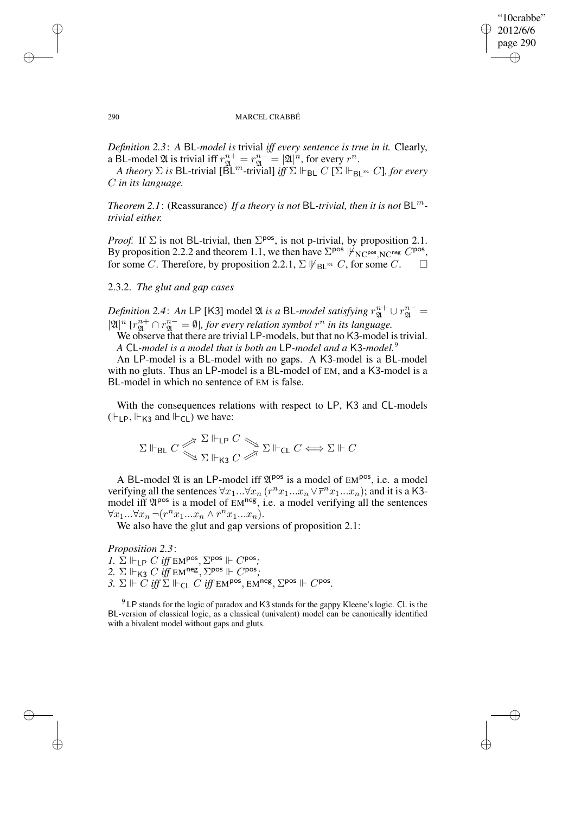✐

### 290 MARCEL CRABBÉ

*Definition 2.3*: *A* BL*-model is* trivial *iff every sentence is true in it.* Clearly, a BL-model  $\mathfrak A$  is trivial iff  $r_{\mathfrak A}^{n+} = r_{\mathfrak A}^{n-} = |\mathfrak A|^n$ , for every  $r^n$ .

 $A$  *theory*  $\Sigma$  *is* BL-trivial [ $\tilde{B}L^m$ -trivial] *iff*  $\Sigma$   $\Vdash_{\mathsf{BL}} C$  [ $\Sigma$   $\Vdash_{\mathsf{BL}^m} C$ ], *for every* C *in its language.*

*Theorem* 2.1: (Reassurance) *If a theory is not* BL-*trivial, then it is not* BL<sup>*m*</sup>*trivial either.*

*Proof.* If  $\Sigma$  is not BL-trivial, then  $\Sigma^{pos}$ , is not p-trivial, by proposition 2.1. By proposition 2.2.2 and theorem 1.1, we then have  $\Sigma^{pos}$   $|\nvDash_{NC^{pos},NC^{neg}} C^{pos}$ , for some C. Therefore, by proposition 2.2.1,  $\Sigma \not\Vdash_{\mathsf{BL}^m} C$ , for some C.

## 2.3.2. *The glut and gap cases*

*Definition 2.4*: An LP [K3] model  $\mathfrak A$  *is a* BL-*model satisfying*  $r_{\mathfrak A}^{n+}\cup r_{\mathfrak A}^{n-} =$  $|\mathfrak{A}|^n$   $[r_{\mathfrak{A}}^{n+} \cap r_{\mathfrak{A}}^{n-} = \emptyset]$ , for every relation symbol  $r^n$  in its language.

We observe that there are trivial LP-models, but that no K3-model is trivial. *A* CL*-model is a model that is both an* LP*-model and a* K3*-model.*<sup>9</sup>

An LP-model is a BL-model with no gaps. A K3-model is a BL-model with no gluts. Thus an LP-model is a BL-model of EM, and a K3-model is a BL-model in which no sentence of EM is false.

With the consequences relations with respect to LP, K3 and CL-models  $(\Vdash_{LP}, \Vdash_{K3} \text{and } \Vdash_{CL})$  we have:

$$
\Sigma \Vdash_{\mathsf{BL}} C \overset{\nearrow}{\underset{\sum}{\rightleftarrows}} \overset{\Sigma \Vdash_{\mathsf{LP}} C}{\underset{\sum \Vdash_{\mathsf{K3}} C}{\rightleftarrows}} \Sigma \Vdash_{\mathsf{CL}} C \Longleftrightarrow \Sigma \Vdash C
$$

A BL-model  $\mathfrak A$  is an LP-model iff  $\mathfrak A^{pos}$  is a model of EM<sup>pos</sup>, i.e. a model verifying all the sentences  $\forall x_1...\forall x_n$   $(r^n x_1...x_n \vee \overline{r}^n x_1...x_n)$ ; and it is a K3model iff  $\mathfrak{A}^{pos}$  is a model of EM<sup>neg</sup>, i.e. a model verifying all the sentences  $\forall x_1...\forall x_n \neg (r^nx_1...x_n \wedge \overline{r}^nx_1...x_n).$ 

We also have the glut and gap versions of proposition 2.1:

*Proposition 2.3*: *1*.  $\Sigma \Vdash_{\mathsf{LP}} C$  *iff* EM<sup>pos</sup>,  $\Sigma^{\text{pos}} \Vdash C^{\text{pos}}$ ; 2.  $\Sigma \Vdash_{\mathsf{K3}} C$  *iff* EM<sup>neg</sup>,  $\Sigma^{\mathsf{pos}} \Vdash C^{\mathsf{pos}}$ ; 3.  $\Sigma \Vdash \check{C}$  *iff*  $\check{\Sigma} \Vdash_{\mathsf{CL}} \check{C}$  *iff*  $\text{EM}^{\text{pos}}, \text{EM}^{\text{neg}}, \Sigma^{\text{pos}} \Vdash C^{\text{pos}}.$ 

 $9^9$  LP stands for the logic of paradox and K3 stands for the gappy Kleene's logic. CL is the BL-version of classical logic, as a classical (univalent) model can be canonically identified with a bivalent model without gaps and gluts.

✐

✐

✐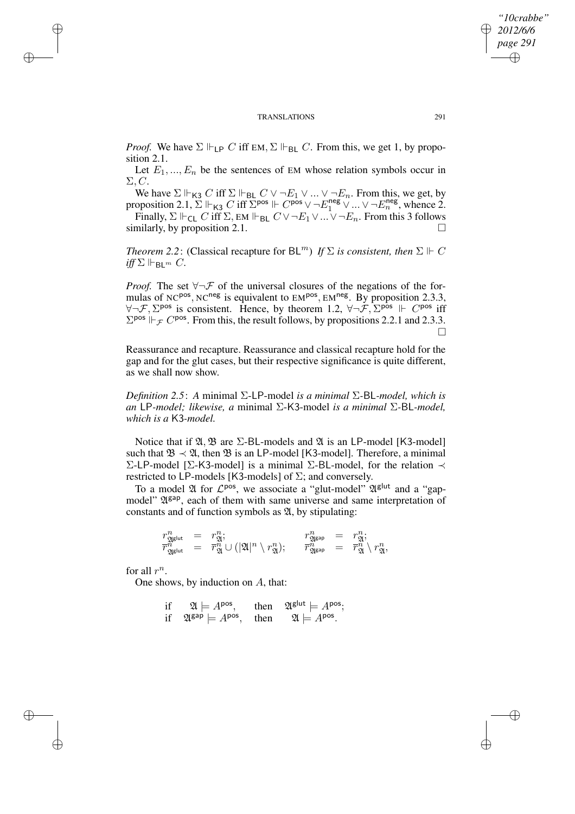*Proof.* We have  $\Sigma \Vdash_{\text{LP}} C$  iff EM,  $\Sigma \Vdash_{\text{BL}} C$ . From this, we get 1, by proposition 2.1.

Let  $E_1, ..., E_n$  be the sentences of EM whose relation symbols occur in  $\Sigma$ , C.

We have  $\Sigma \Vdash_{\mathsf{K3}} C$  iff  $\Sigma \Vdash_{\mathsf{BL}} C \vee \neg E_1 \vee \dots \vee \neg E_n$ . From this, we get, by proposition 2.1,  $\Sigma \Vdash_{K3} C$  iff  $\Sigma^{pos} \Vdash C^{pos} \vee \neg E_1^{neg} \vee \dots \vee \neg E_n^{neg}$ , whence 2.

Finally,  $\Sigma \Vdash_{\mathsf{CL}} C$  iff  $\Sigma$ , EM  $\Vdash_{\mathsf{BL}} C \vee \neg E_1 \vee ... \vee \neg E_n$ . From this 3 follows similarly, by proposition 2.1.

*Theorem* 2.2: (Classical recapture for  $BL^m$ ) *If*  $\Sigma$  *is consistent, then*  $\Sigma \Vdash C$  $iff \Sigma \Vdash_{\mathsf{BL}^m} C$ .

*Proof.* The set  $\forall \neg \mathcal{F}$  of the universal closures of the negations of the formulas of NC<sup>pos</sup>, NC<sup>neg</sup> is equivalent to EM<sup>pos</sup>, EM<sup>neg</sup>. By proposition 2.3.3,  $\forall \neg \mathcal{F}, \Sigma^{\text{pos}}$  is consistent. Hence, by theorem 1.2,  $\forall \neg \mathcal{F}, \Sigma^{\text{pos}} \Vdash C^{\text{pos}}$  iff  $\Sigma^{pos}$   $\Vdash_{\mathcal{F}} C^{pos}$ . From this, the result follows, by propositions 2.2.1 and 2.3.3.  $\Box$ 

Reassurance and recapture. Reassurance and classical recapture hold for the gap and for the glut cases, but their respective significance is quite different, as we shall now show.

*Definition 2.5*: *A* minimal Σ-LP-model *is a minimal* Σ*-*BL*-model, which is an* LP*-model; likewise, a* minimal Σ-K3-model *is a minimal* Σ*-*BL*-model, which is a* K3*-model.*

Notice that if  $\mathfrak{A}, \mathfrak{B}$  are  $\Sigma$ -BL-models and  $\mathfrak{A}$  is an LP-model [K3-model] such that  $\mathfrak{B} \prec \mathfrak{A}$ , then  $\mathfrak{B}$  is an LP-model [K3-model]. Therefore, a minimal Σ-LP-model [Σ-K3-model] is a minimal Σ-BL-model, for the relation  $\prec$ restricted to LP-models [K3-models] of  $\Sigma$ ; and conversely.

To a model  $\mathfrak A$  for  $\mathcal L^{\text{pos}}$ , we associate a "glut-model"  $\mathfrak A^{\text{glut}}$  and a "gapmodel"  $\mathfrak{A}^{\text{gap}}$ , each of them with same universe and same interpretation of constants and of function symbols as  $\mathfrak{A}$ , by stipulating:

$$
\begin{array}{rclcrcl} r_{\mathfrak{A}^{\textrm{gl} \textrm{ul}}}^n&=&r_{\mathfrak{A}^1}^n; &\qquad r_{\mathfrak{A}^{\textrm{gr}}}^n&=&r_{\mathfrak{A}^1}^n; \\ \overline{r}_{\mathfrak{A}^{\textrm{gl} \textrm{ul}}}^n&=&\overline{r}_{\mathfrak{A}}^n \cup \left(|\mathfrak{A}|^n \setminus r_{\mathfrak{A}}^n\right); &\quad \overline{r}_{\mathfrak{A}^{\textrm{gr}}}^n&=&\overline{r}_{\mathfrak{A}}^n \setminus r_{\mathfrak{A}}^n, \end{array}
$$

for all  $r^n$ .

✐

✐

✐

✐

One shows, by induction on A, that:

if 
$$
\mathfrak{A} \models A^{\text{pos}}
$$
, then  $\mathfrak{A}^{\text{glut}} \models A^{\text{pos}}$ ;  
if  $\mathfrak{A}^{\text{gap}} \models A^{\text{pos}}$ , then  $\mathfrak{A} \models A^{\text{pos}}$ .

*"10crabbe" 2012/6/6 page 291*

✐

✐

✐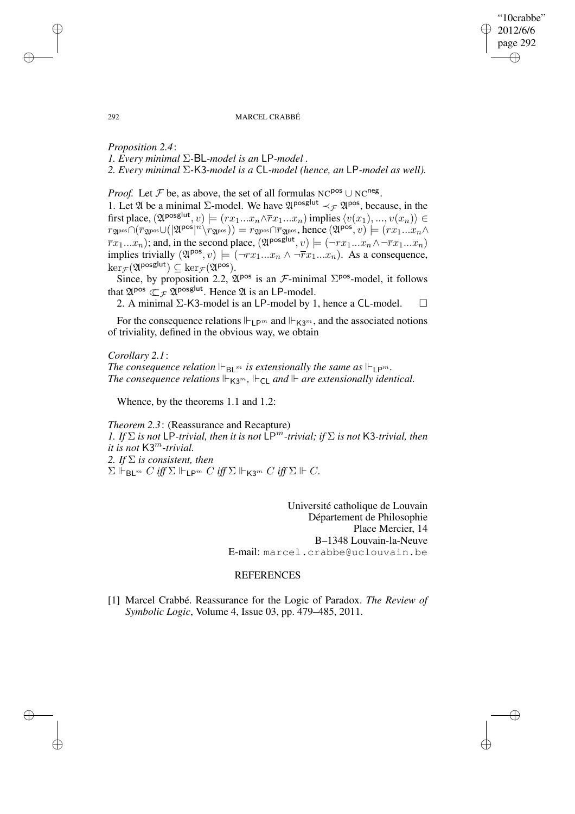"10crabbe" 2012/6/6 page 292 ✐ ✐

✐

✐

### 292 MARCEL CRABBÉ

*Proposition 2.4*: *1. Every minimal* Σ*-*BL*-model is an* LP*-model . 2. Every minimal* Σ*-*K3*-model is a* CL*-model (hence, an* LP*-model as well).*

*Proof.* Let  $\mathcal F$  be, as above, the set of all formulas NC<sup>pos</sup>  $\cup$  NC<sup>neg</sup>.

1. Let  $\mathfrak A$  be a minimal Σ-model. We have  $\mathfrak A^{posglut} \prec_{\mathcal F} \mathfrak A^{pos}$ , because, in the first place,  $(\mathfrak{A}^{\text{posglut}}, v) \models (rx_1...x_n \wedge \overline{rx}_1...x_n)$  implies  $\langle v(x_1), ..., v(x_n) \rangle \in$  $r_{\mathfrak{A}^{\text{pos}}} \cap (\overline{r}_{\mathfrak{A}^{\text{pos}}} \cup (|\mathfrak{A}^{\text{pos}}|^{n} \setminus r_{\mathfrak{A}^{\text{pos}}})) = r_{\mathfrak{A}^{\text{pos}}}\cap \overline{r}_{\mathfrak{A}^{\text{pos}}}, \text{hence } (\mathfrak{A}^{\text{pos}}, v) \models (rx_1...x_n \wedge$  $\overline{r}x_1...x_n$ ); and, in the second place,  $(\mathfrak{A}^{posglut}, v) \models (\neg rx_1...x_n \land \neg \overline{r}x_1...x_n)$ implies trivially  $(\mathfrak{A}^{pos}, v) \models (\neg rx_1 \dots x_n \land \neg \overline{rx}_1 \dots x_n)$ . As a consequence,  $\ker_{\mathcal{F}}(\mathfrak{A}^{\mathsf{posglut}}) \subseteq \ker_{\mathcal{F}}(\mathfrak{A}^{\mathsf{pos}}).$ 

Since, by proposition 2.2,  $\mathfrak{A}^{pos}$  is an *F*-minimal  $\Sigma^{pos}$ -model, it follows that  $\mathfrak{A}^{\text{pos}} \subset_{\mathcal{F}} \mathfrak{A}^{\text{posglut}}$ . Hence  $\mathfrak{A}$  is an LP-model.

2. A minimal  $\Sigma$ -K3-model is an LP-model by 1, hence a CL-model.  $\square$ 

For the consequence relations  $\Vdash_{\mathsf{L}\mathsf{P}^m}$  and  $\Vdash_{\mathsf{K3}^m}$ , and the associated notions of triviality, defined in the obvious way, we obtain

*Corollary 2.1*: *The consequence relation*  $\Vdash_{\mathsf{BL}^m}$  *is extensionally the same as*  $\Vdash_{\mathsf{LP}^m}$ *. The consequence relations*  $\Vdash_{K3^m}$ ,  $\Vdash_{\text{Cl}}$  *and*  $\Vdash$  *are extensionally identical.* 

Whence, by the theorems 1.1 and 1.2:

*Theorem 2.3*: (Reassurance and Recapture) *1. If*  $\Sigma$  *is not* LP*-trivial, then it is not* LP<sup>m</sup>-trivial; *if*  $\Sigma$  *is not* K3*-trivial, then it is not* K3m*-trivial. 2. If* Σ *is consistent, then*  $\Sigma \Vdash_{\mathsf{Bl}^m} C$  *iff*  $\Sigma \Vdash_{\mathsf{L}^{\mathsf{P}^m}} C$  *iff*  $\Sigma \Vdash_{\mathsf{K}^{\mathsf{P}^m}} C$  *iff*  $\Sigma \Vdash C$ .

> Université catholique de Louvain Département de Philosophie Place Mercier, 14 B–1348 Louvain-la-Neuve E-mail: marcel.crabbe@uclouvain.be

# **REFERENCES**

[1] Marcel Crabbé. Reassurance for the Logic of Paradox. *The Review of Symbolic Logic*, Volume 4, Issue 03, pp. 479–485, 2011.

✐

✐

✐